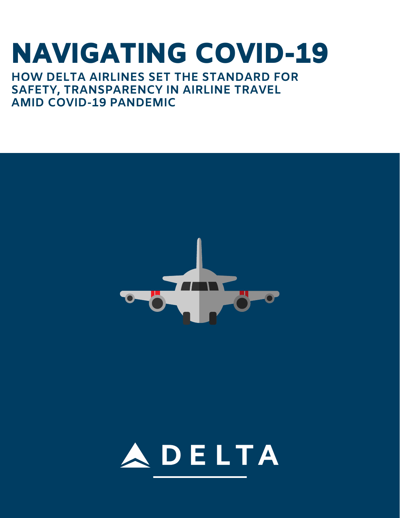# NAVIGATING COVID-19

**HOW DELTA AIRLINES SET THE STANDARD FOR SAFETY, TRANSPARENCY IN AIRLINE TRAVEL AMID COVID-19 PANDEMIC**



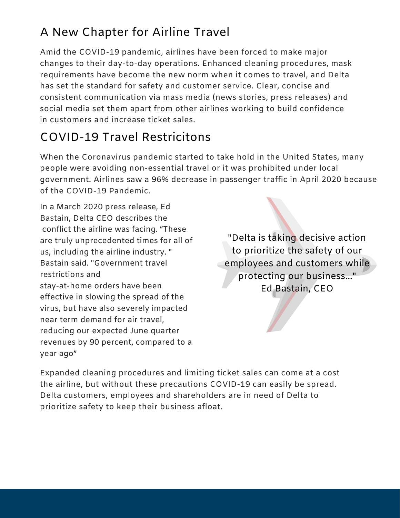### A New Chapter for Airline Travel

Amid the COVID-19 pandemic, airlines have been forced to make major changes to their day-to-day operations. Enhanced cleaning procedures, mask requirements have become the new norm when it comes to travel, and Delta has set the standard for safety and customer service. Clear, concise and consistent communication via mass media (news stories, press releases) and social media set them apart from other airlines working to build confidence in customers and increase ticket sales.

### COVID-19 Travel Restricitons

When the Coronavirus pandemic started to take hold in the United States, many people were avoiding non-essential travel or it was prohibited under local government. Airlines saw a 96% decrease in passenger traffic in April 2020 because of the COVID-19 Pandemic.

In a March 2020 press release, Ed Bastain, Delta CEO describes the conflict the airline was facing. "These are truly unprecedented times for all of us, including the airline industry. " Bastain said. "Government travel restrictions and stay-at-home orders have been effective in slowing the spread of the virus, but have also severely impacted near term demand for air travel, reducing our expected June quarter revenues by 90 percent, compared to a year ago"

"Delta is taking decisive action to prioritize the safety of our employees and customers while protecting our business..." Ed Bastain, CEO

Expanded cleaning procedures and limiting ticket sales can come at a cost the airline, but without these precautions COVID-19 can easily be spread. Delta customers, employees and shareholders are in need of Delta to prioritize safety to keep their business afloat.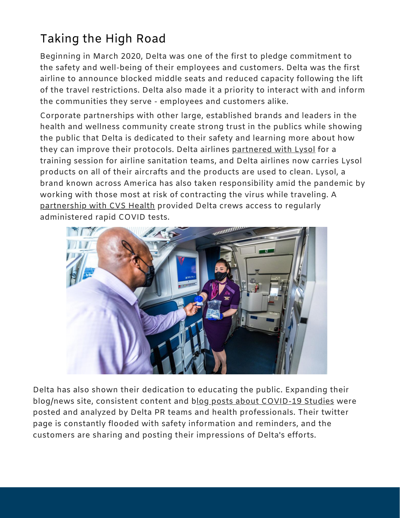## T<mark>aking the High Road</mark><br><sub>Beginning in March 2020, Delta was</sub>

Beginning in March 2020, Delta was r<br>1950<br>1950 s o o<br>Solomonia<br>Solomonia ne f of the e efirst to pledge commitment to the safety and well-being of their employees and customers. Delta was the first airline to announce blocked middle seats and reduced capacity following the lift of the travel restrictions. Delta also made it a priority to interact with and inform the communities they serve - employees and customers alike.

Corporate partnerships with other large, established brands and leaders in the health and wellness community create strong trust in the publics while showing the public that Delta is dedicated to their safety and learning more about how they can improve their protocols. Delta airlines [partnered](https://news.delta.com/delta-lysol-team-uncover-whats-next-safe-surfaces-airports-and-onboard) with Lysol for a training session for airline sanitation teams, and Delta airlines now carries Lysol products on all of their aircrafts and the products are used to clean. Lysol, a brand known across America has also taken responsibility amid the pandemic by working with those most at risk of contracting the virus while traveling. A [partnership](https://news.delta.com/delta-teams-cvs-health-accelerate-employee-covid-19-testing) with CVS Health provided Delta crews access to regularly administered rapid COVID tests.



Delta has also shown their dedication to educating the public. Expanding their blog/news site, consistent content and blog posts about [COVID-19](https://news.delta.com/harvard-study-masks-when-worn-throughout-travel-offer-significant-protection-covid-19) Studies were posted and analyzed by Delta PR teams and health professionals. Their twitter page is constantly flooded with safety information and reminders, and the customers are sharing and posting their impressions of Delta's efforts.